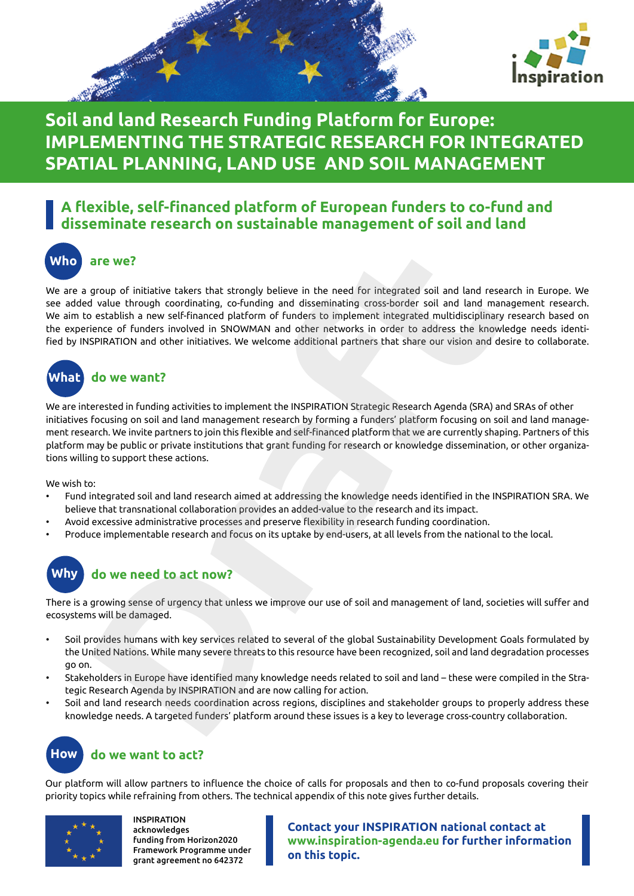



## **Soil and land Research Funding Platform for Europe: IMPLEMENTING THE STRATEGIC RESEARCH FOR INTEGRATED SPATIAL PLANNING, LAND USE AND SOIL MANAGEMENT**

#### **A flexible, self-financed platform of European funders to co-fund and disseminate research on sustainable management of soil and land**

**Who are we?**

We are a group of initiative takers that strongly believe in the need for integrated soil and land research in Europe. We see added value through coordinating, co-funding and disseminating cross-border soil and land management research. We aim to establish a new self-financed platform of funders to implement integrated multidisciplinary research based on the experience of funders involved in SNOWMAN and other networks in order to address the knowledge needs identified by INSPIRATION and other initiatives. We welcome additional partners that share our vision and desire to collaborate. are we?<br>
group of initiative takers that strongly believe in the need for integrated soil and land rese<br>
group of initiative takers that strongly believe in the need for integrated soil and land man<br>
or establish a new sel

# **What do we want?**

We are interested in funding activities to implement the INSPIRATION Strategic Research Agenda (SRA) and SRAs of other initiatives focusing on soil and land management research by forming a funders' platform focusing on soil and land management research. We invite partners to join this flexible and self-financed platform that we are currently shaping. Partners of this platform may be public or private institutions that grant funding for research or knowledge dissemination, or other organizations willing to support these actions.

We wish to:

- Fund integrated soil and land research aimed at addressing the knowledge needs identified in the INSPIRATION SRA. We believe that transnational collaboration provides an added-value to the research and its impact.
- Avoid excessive administrative processes and preserve flexibility in research funding coordination.
- Produce implementable research and focus on its uptake by end-users, at all levels from the national to the local.



#### **Why do we need to act now?**

There is a growing sense of urgency that unless we improve our use of soil and management of land, societies will suffer and ecosystems will be damaged.

- Soil provides humans with key services related to several of the global Sustainability Development Goals formulated by the United Nations. While many severe threats to this resource have been recognized, soil and land degradation processes go on.
- Stakeholders in Europe have identified many knowledge needs related to soil and land these were compiled in the Strategic Research Agenda by INSPIRATION and are now calling for action.
- Soil and land research needs coordination across regions, disciplines and stakeholder groups to properly address these knowledge needs. A targeted funders' platform around these issues is a key to leverage cross-country collaboration.



### **How do we want to act?**

Our platform will allow partners to influence the choice of calls for proposals and then to co-fund proposals covering their priority topics while refraining from others. The technical appendix of this note gives further details.



INSPIRATION acknowledges funding from Horizon2020 Framework Programme under grant agreement no 642372

**Contact your INSPIRATION national contact at www.inspiration-agenda.eu for further information on this topic.**